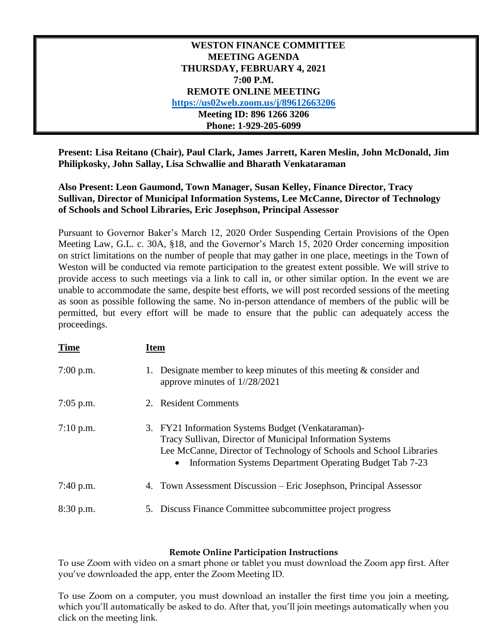## **WESTON FINANCE COMMITTEE MEETING AGENDA THURSDAY, FEBRUARY 4, 2021 7:00 P.M. REMOTE ONLINE MEETING <https://us02web.zoom.us/j/89612663206> Meeting ID: 896 1266 3206 Phone: 1-929-205-6099**

**Present: Lisa Reitano (Chair), Paul Clark, James Jarrett, Karen Meslin, John McDonald, Jim Philipkosky, John Sallay, Lisa Schwallie and Bharath Venkataraman**

## **Also Present: Leon Gaumond, Town Manager, Susan Kelley, Finance Director, Tracy Sullivan, Director of Municipal Information Systems, Lee McCanne, Director of Technology of Schools and School Libraries, Eric Josephson, Principal Assessor**

Pursuant to Governor Baker's March 12, 2020 Order Suspending Certain Provisions of the Open Meeting Law, G.L. c. 30A, §18, and the Governor's March 15, 2020 Order concerning imposition on strict limitations on the number of people that may gather in one place, meetings in the Town of Weston will be conducted via remote participation to the greatest extent possible. We will strive to provide access to such meetings via a link to call in, or other similar option. In the event we are unable to accommodate the same, despite best efforts, we will post recorded sessions of the meeting as soon as possible following the same. No in-person attendance of members of the public will be permitted, but every effort will be made to ensure that the public can adequately access the proceedings.

| <b>Time</b> | <b>Item</b> |                                                                                                                                                                                                                                                      |
|-------------|-------------|------------------------------------------------------------------------------------------------------------------------------------------------------------------------------------------------------------------------------------------------------|
| $7:00$ p.m. | 1.          | Designate member to keep minutes of this meeting $\&$ consider and<br>approve minutes of $1//28/2021$                                                                                                                                                |
| $7:05$ p.m. |             | 2. Resident Comments                                                                                                                                                                                                                                 |
| $7:10$ p.m. |             | 3. FY21 Information Systems Budget (Venkataraman)-<br>Tracy Sullivan, Director of Municipal Information Systems<br>Lee McCanne, Director of Technology of Schools and School Libraries<br>• Information Systems Department Operating Budget Tab 7-23 |
| $7:40$ p.m. |             | 4. Town Assessment Discussion – Eric Josephson, Principal Assessor                                                                                                                                                                                   |
| 8:30 p.m.   |             | 5. Discuss Finance Committee subcommittee project progress                                                                                                                                                                                           |

## **Remote Online Participation Instructions**

To use Zoom with video on a smart phone or tablet you must download the Zoom app first. After you've downloaded the app, enter the Zoom Meeting ID.

To use Zoom on a computer, you must download an installer the first time you join a meeting, which you'll automatically be asked to do. After that, you'll join meetings automatically when you click on the meeting link.